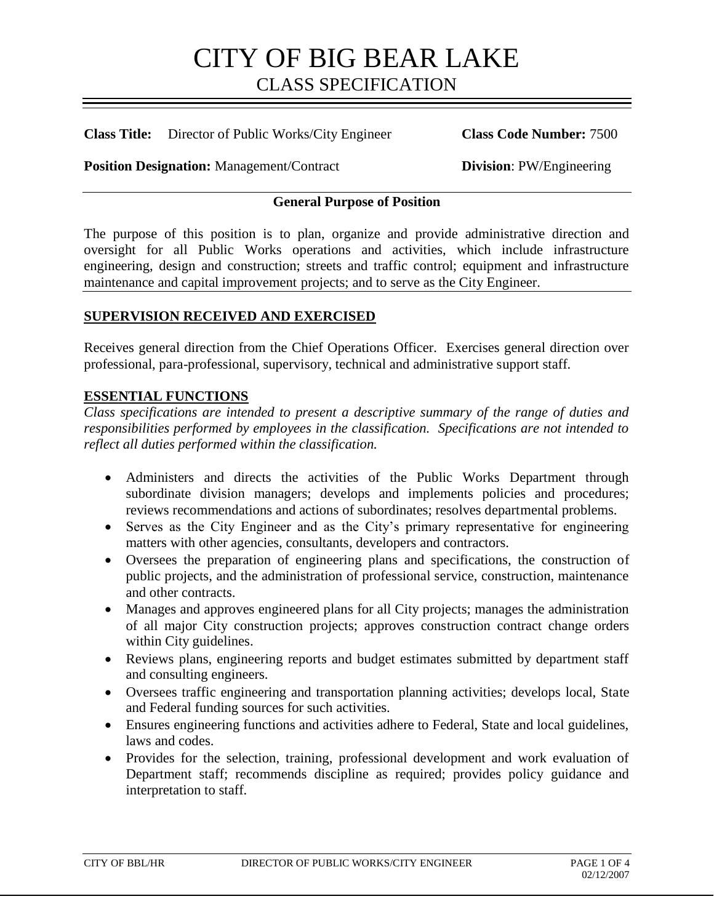**Class Title:** Director of Public Works/City Engineer **Class Code Number:** 7500

**Position Designation:** Management/Contract **Division**: PW/Engineering

### **General Purpose of Position**

The purpose of this position is to plan, organize and provide administrative direction and oversight for all Public Works operations and activities, which include infrastructure engineering, design and construction; streets and traffic control; equipment and infrastructure maintenance and capital improvement projects; and to serve as the City Engineer.

### **SUPERVISION RECEIVED AND EXERCISED**

Receives general direction from the Chief Operations Officer. Exercises general direction over professional, para-professional, supervisory, technical and administrative support staff.

#### **ESSENTIAL FUNCTIONS**

*Class specifications are intended to present a descriptive summary of the range of duties and responsibilities performed by employees in the classification. Specifications are not intended to reflect all duties performed within the classification.*

- Administers and directs the activities of the Public Works Department through subordinate division managers; develops and implements policies and procedures; reviews recommendations and actions of subordinates; resolves departmental problems.
- Serves as the City Engineer and as the City's primary representative for engineering matters with other agencies, consultants, developers and contractors.
- Oversees the preparation of engineering plans and specifications, the construction of public projects, and the administration of professional service, construction, maintenance and other contracts.
- Manages and approves engineered plans for all City projects; manages the administration of all major City construction projects; approves construction contract change orders within City guidelines.
- Reviews plans, engineering reports and budget estimates submitted by department staff and consulting engineers.
- Oversees traffic engineering and transportation planning activities; develops local, State and Federal funding sources for such activities.
- Ensures engineering functions and activities adhere to Federal, State and local guidelines, laws and codes.
- Provides for the selection, training, professional development and work evaluation of Department staff; recommends discipline as required; provides policy guidance and interpretation to staff.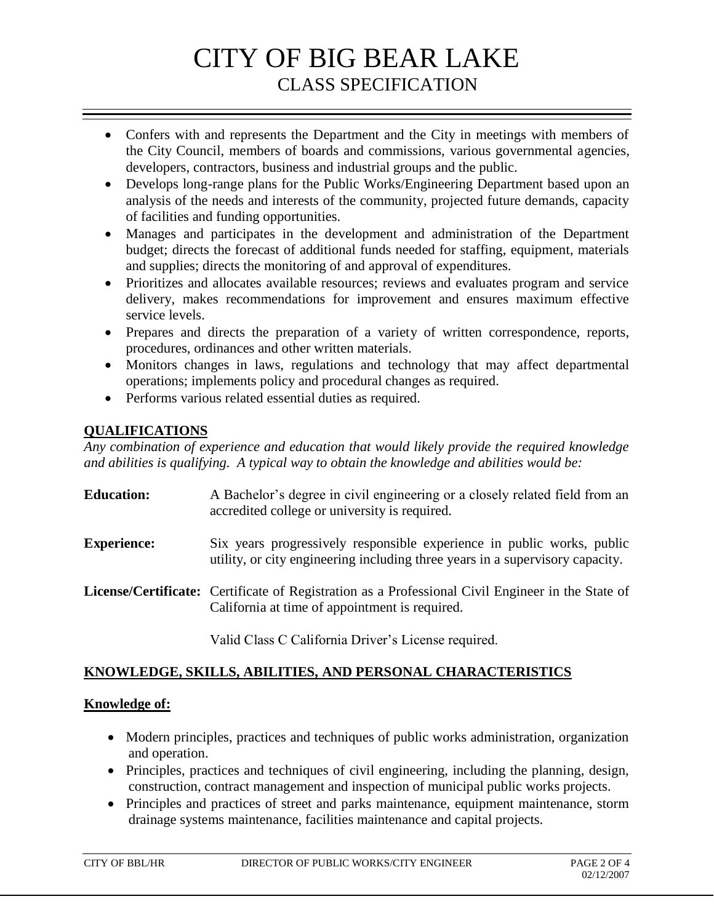- Confers with and represents the Department and the City in meetings with members of the City Council, members of boards and commissions, various governmental agencies, developers, contractors, business and industrial groups and the public.
- Develops long-range plans for the Public Works/Engineering Department based upon an analysis of the needs and interests of the community, projected future demands, capacity of facilities and funding opportunities.
- Manages and participates in the development and administration of the Department budget; directs the forecast of additional funds needed for staffing, equipment, materials and supplies; directs the monitoring of and approval of expenditures.
- Prioritizes and allocates available resources; reviews and evaluates program and service delivery, makes recommendations for improvement and ensures maximum effective service levels.
- Prepares and directs the preparation of a variety of written correspondence, reports, procedures, ordinances and other written materials.
- Monitors changes in laws, regulations and technology that may affect departmental operations; implements policy and procedural changes as required.
- Performs various related essential duties as required.

# **QUALIFICATIONS**

*Any combination of experience and education that would likely provide the required knowledge and abilities is qualifying. A typical way to obtain the knowledge and abilities would be:*

| <b>Education:</b>  | A Bachelor's degree in civil engineering or a closely related field from an<br>accredited college or university is required.                               |
|--------------------|------------------------------------------------------------------------------------------------------------------------------------------------------------|
| <b>Experience:</b> | Six years progressively responsible experience in public works, public<br>utility, or city engineering including three years in a supervisory capacity.    |
|                    | <b>License/Certificate:</b> Certificate of Registration as a Professional Civil Engineer in the State of<br>California at time of appointment is required. |

Valid Class C California Driver's License required.

# **KNOWLEDGE, SKILLS, ABILITIES, AND PERSONAL CHARACTERISTICS**

## **Knowledge of:**

- Modern principles, practices and techniques of public works administration, organization and operation.
- Principles, practices and techniques of civil engineering, including the planning, design, construction, contract management and inspection of municipal public works projects.
- Principles and practices of street and parks maintenance, equipment maintenance, storm drainage systems maintenance, facilities maintenance and capital projects.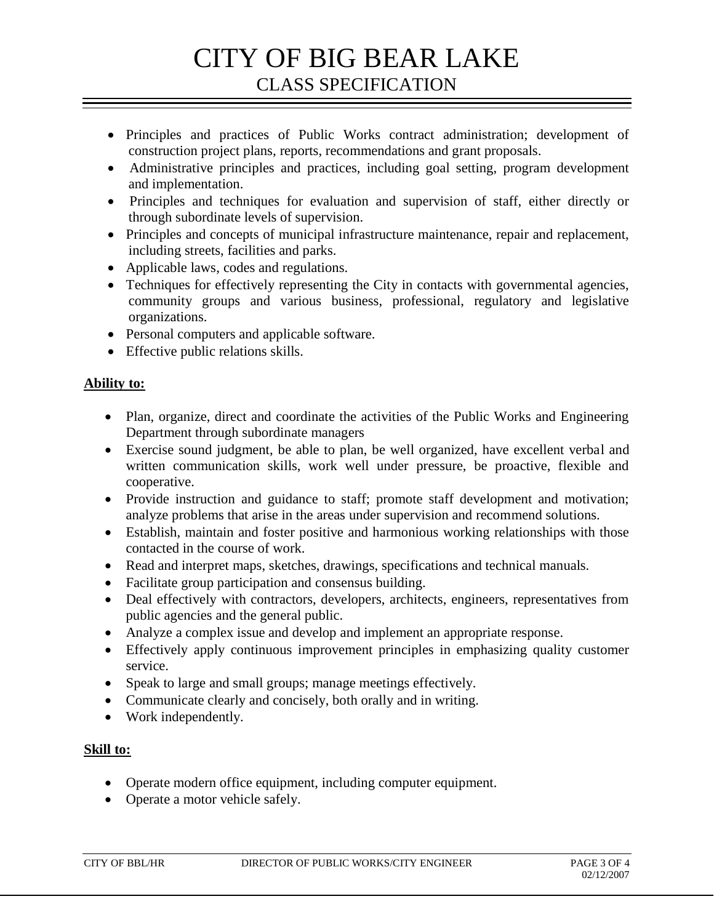- Principles and practices of Public Works contract administration; development of construction project plans, reports, recommendations and grant proposals.
- Administrative principles and practices, including goal setting, program development and implementation.
- Principles and techniques for evaluation and supervision of staff, either directly or through subordinate levels of supervision.
- Principles and concepts of municipal infrastructure maintenance, repair and replacement, including streets, facilities and parks.
- Applicable laws, codes and regulations.
- Techniques for effectively representing the City in contacts with governmental agencies, community groups and various business, professional, regulatory and legislative organizations.
- Personal computers and applicable software.
- Effective public relations skills.

### **Ability to:**

- Plan, organize, direct and coordinate the activities of the Public Works and Engineering Department through subordinate managers
- Exercise sound judgment, be able to plan, be well organized, have excellent verbal and written communication skills, work well under pressure, be proactive, flexible and cooperative.
- Provide instruction and guidance to staff; promote staff development and motivation; analyze problems that arise in the areas under supervision and recommend solutions.
- Establish, maintain and foster positive and harmonious working relationships with those contacted in the course of work.
- Read and interpret maps, sketches, drawings, specifications and technical manuals.
- Facilitate group participation and consensus building.
- Deal effectively with contractors, developers, architects, engineers, representatives from public agencies and the general public.
- Analyze a complex issue and develop and implement an appropriate response.
- Effectively apply continuous improvement principles in emphasizing quality customer service.
- Speak to large and small groups; manage meetings effectively.
- Communicate clearly and concisely, both orally and in writing.
- Work independently.

### **Skill to:**

- Operate modern office equipment, including computer equipment.
- Operate a motor vehicle safely.